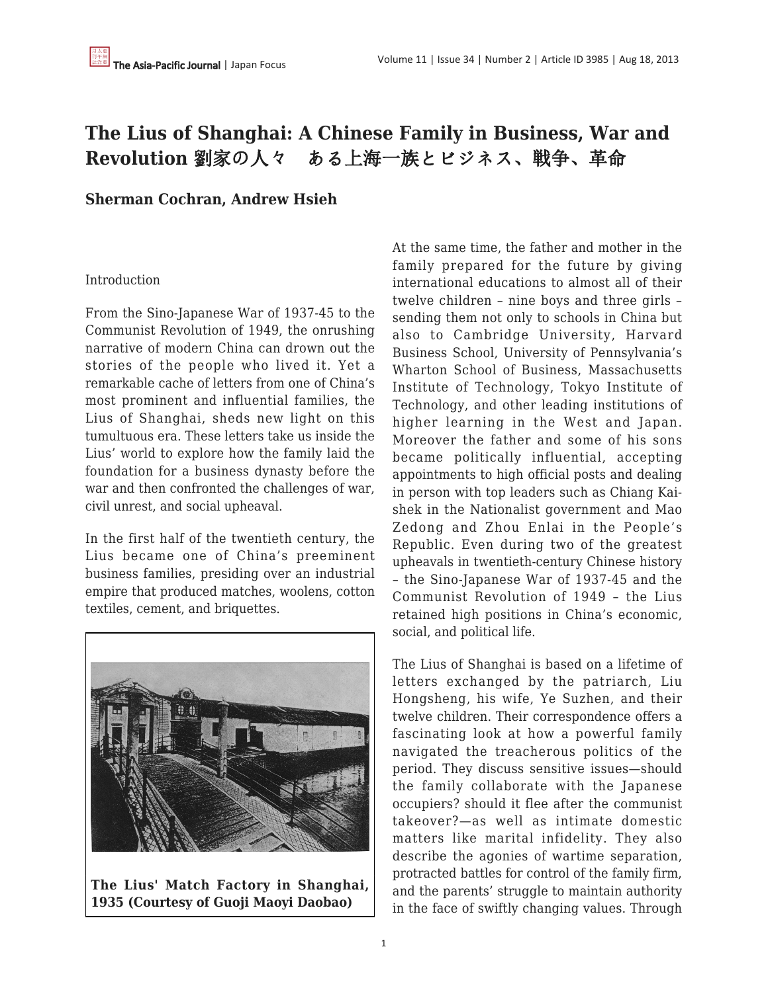# **The Lius of Shanghai: A Chinese Family in Business, War and Revolution** 劉家の人々 ある上海一族とビジネス、戦争、革命

## **Sherman Cochran, Andrew Hsieh**

#### Introduction

From the Sino-Japanese War of 1937-45 to the Communist Revolution of 1949, the onrushing narrative of modern China can drown out the stories of the people who lived it. Yet a remarkable cache of letters from one of China's most prominent and influential families, the Lius of Shanghai, sheds new light on this tumultuous era. These letters take us inside the Lius' world to explore how the family laid the foundation for a business dynasty before the war and then confronted the challenges of war, civil unrest, and social upheaval.

In the first half of the twentieth century, the Lius became one of China's preeminent business families, presiding over an industrial empire that produced matches, woolens, cotton textiles, cement, and briquettes.



**The Lius' Match Factory in Shanghai, 1935 (Courtesy of Guoji Maoyi Daobao)**

At the same time, the father and mother in the family prepared for the future by giving international educations to almost all of their twelve children – nine boys and three girls – sending them not only to schools in China but also to Cambridge University, Harvard Business School, University of Pennsylvania's Wharton School of Business, Massachusetts Institute of Technology, Tokyo Institute of Technology, and other leading institutions of higher learning in the West and Japan. Moreover the father and some of his sons became politically influential, accepting appointments to high official posts and dealing in person with top leaders such as Chiang Kaishek in the Nationalist government and Mao Zedong and Zhou Enlai in the People's Republic. Even during two of the greatest upheavals in twentieth-century Chinese history – the Sino-Japanese War of 1937-45 and the Communist Revolution of 1949 – the Lius retained high positions in China's economic, social, and political life.

The Lius of Shanghai is based on a lifetime of letters exchanged by the patriarch, Liu Hongsheng, his wife, Ye Suzhen, and their twelve children. Their correspondence offers a fascinating look at how a powerful family navigated the treacherous politics of the period. They discuss sensitive issues—should the family collaborate with the Japanese occupiers? should it flee after the communist takeover?—as well as intimate domestic matters like marital infidelity. They also describe the agonies of wartime separation, protracted battles for control of the family firm, and the parents' struggle to maintain authority in the face of swiftly changing values. Through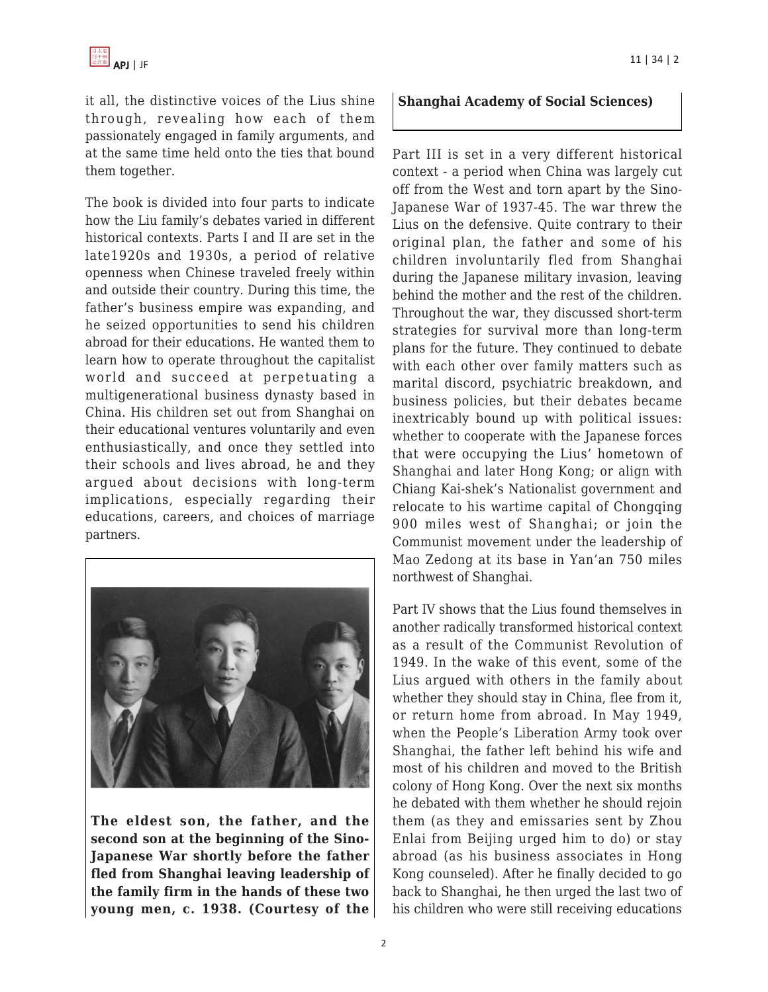it all, the distinctive voices of the Lius shine through, revealing how each of them passionately engaged in family arguments, and at the same time held onto the ties that bound them together.

The book is divided into four parts to indicate how the Liu family's debates varied in different historical contexts. Parts I and II are set in the late1920s and 1930s, a period of relative openness when Chinese traveled freely within and outside their country. During this time, the father's business empire was expanding, and he seized opportunities to send his children abroad for their educations. He wanted them to learn how to operate throughout the capitalist world and succeed at perpetuating a multigenerational business dynasty based in China. His children set out from Shanghai on their educational ventures voluntarily and even enthusiastically, and once they settled into their schools and lives abroad, he and they argued about decisions with long-term implications, especially regarding their educations, careers, and choices of marriage partners.



**The eldest son, the father, and the second son at the beginning of the Sino-Japanese War shortly before the father fled from Shanghai leaving leadership of the family firm in the hands of these two young men, c. 1938. (Courtesy of the** **Shanghai Academy of Social Sciences)**

Part III is set in a very different historical context - a period when China was largely cut off from the West and torn apart by the Sino-Japanese War of 1937-45. The war threw the Lius on the defensive. Quite contrary to their original plan, the father and some of his children involuntarily fled from Shanghai during the Japanese military invasion, leaving behind the mother and the rest of the children. Throughout the war, they discussed short-term strategies for survival more than long-term plans for the future. They continued to debate with each other over family matters such as marital discord, psychiatric breakdown, and business policies, but their debates became inextricably bound up with political issues: whether to cooperate with the Japanese forces that were occupying the Lius' hometown of Shanghai and later Hong Kong; or align with Chiang Kai-shek's Nationalist government and relocate to his wartime capital of Chongqing 900 miles west of Shanghai; or join the Communist movement under the leadership of Mao Zedong at its base in Yan'an 750 miles northwest of Shanghai.

Part IV shows that the Lius found themselves in another radically transformed historical context as a result of the Communist Revolution of 1949. In the wake of this event, some of the Lius argued with others in the family about whether they should stay in China, flee from it, or return home from abroad. In May 1949, when the People's Liberation Army took over Shanghai, the father left behind his wife and most of his children and moved to the British colony of Hong Kong. Over the next six months he debated with them whether he should rejoin them (as they and emissaries sent by Zhou Enlai from Beijing urged him to do) or stay abroad (as his business associates in Hong Kong counseled). After he finally decided to go back to Shanghai, he then urged the last two of his children who were still receiving educations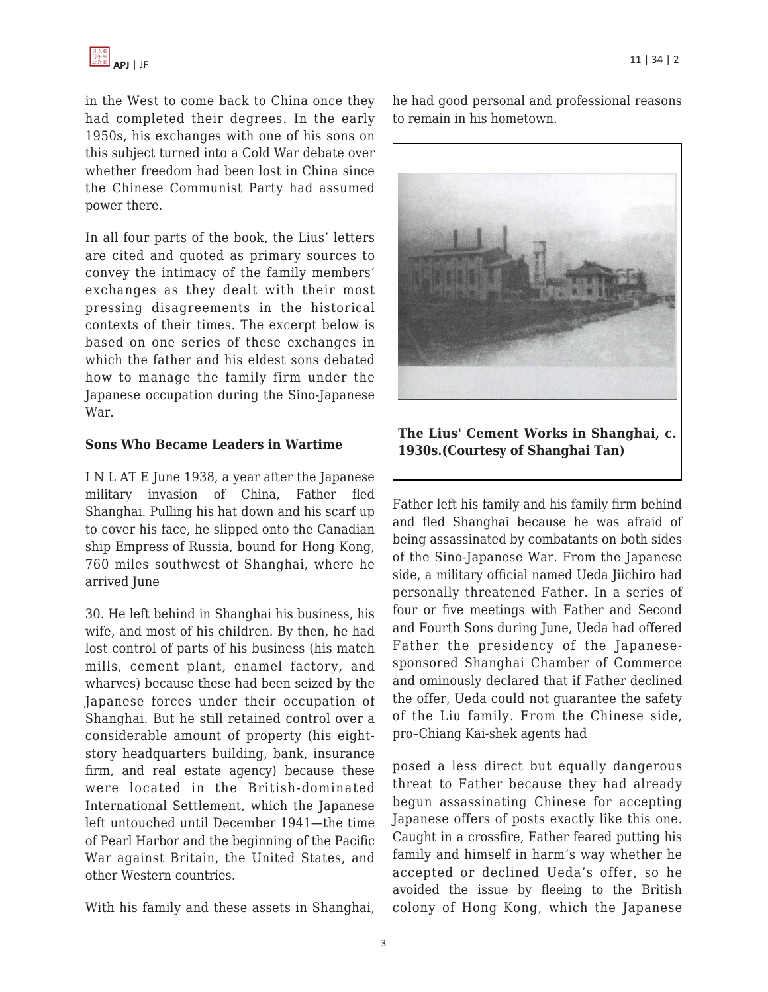

in the West to come back to China once they had completed their degrees. In the early 1950s, his exchanges with one of his sons on this subject turned into a Cold War debate over whether freedom had been lost in China since the Chinese Communist Party had assumed power there.

In all four parts of the book, the Lius' letters are cited and quoted as primary sources to convey the intimacy of the family members' exchanges as they dealt with their most pressing disagreements in the historical contexts of their times. The excerpt below is based on one series of these exchanges in which the father and his eldest sons debated how to manage the family firm under the Japanese occupation during the Sino-Japanese War.

#### **Sons Who Became Leaders in Wartime**

I N L AT E June 1938, a year after the Japanese military invasion of China, Father fled Shanghai. Pulling his hat down and his scarf up to cover his face, he slipped onto the Canadian ship Empress of Russia, bound for Hong Kong, 760 miles southwest of Shanghai, where he arrived June

30. He left behind in Shanghai his business, his wife, and most of his children. By then, he had lost control of parts of his business (his match mills, cement plant, enamel factory, and wharves) because these had been seized by the Japanese forces under their occupation of Shanghai. But he still retained control over a considerable amount of property (his eightstory headquarters building, bank, insurance firm, and real estate agency) because these were located in the British-dominated International Settlement, which the Japanese left untouched until December 1941—the time of Pearl Harbor and the beginning of the Pacific War against Britain, the United States, and other Western countries.

With his family and these assets in Shanghai,

he had good personal and professional reasons to remain in his hometown.



**The Lius' Cement Works in Shanghai, c. 1930s.(Courtesy of Shanghai Tan)**

Father left his family and his family firm behind and fled Shanghai because he was afraid of being assassinated by combatants on both sides of the Sino-Japanese War. From the Japanese side, a military official named Ueda Jiichiro had personally threatened Father. In a series of four or five meetings with Father and Second and Fourth Sons during June, Ueda had offered Father the presidency of the Japanesesponsored Shanghai Chamber of Commerce and ominously declared that if Father declined the offer, Ueda could not guarantee the safety of the Liu family. From the Chinese side, pro–Chiang Kai-shek agents had

posed a less direct but equally dangerous threat to Father because they had already begun assassinating Chinese for accepting Japanese offers of posts exactly like this one. Caught in a crossfire, Father feared putting his family and himself in harm's way whether he accepted or declined Ueda's offer, so he avoided the issue by fleeing to the British colony of Hong Kong, which the Japanese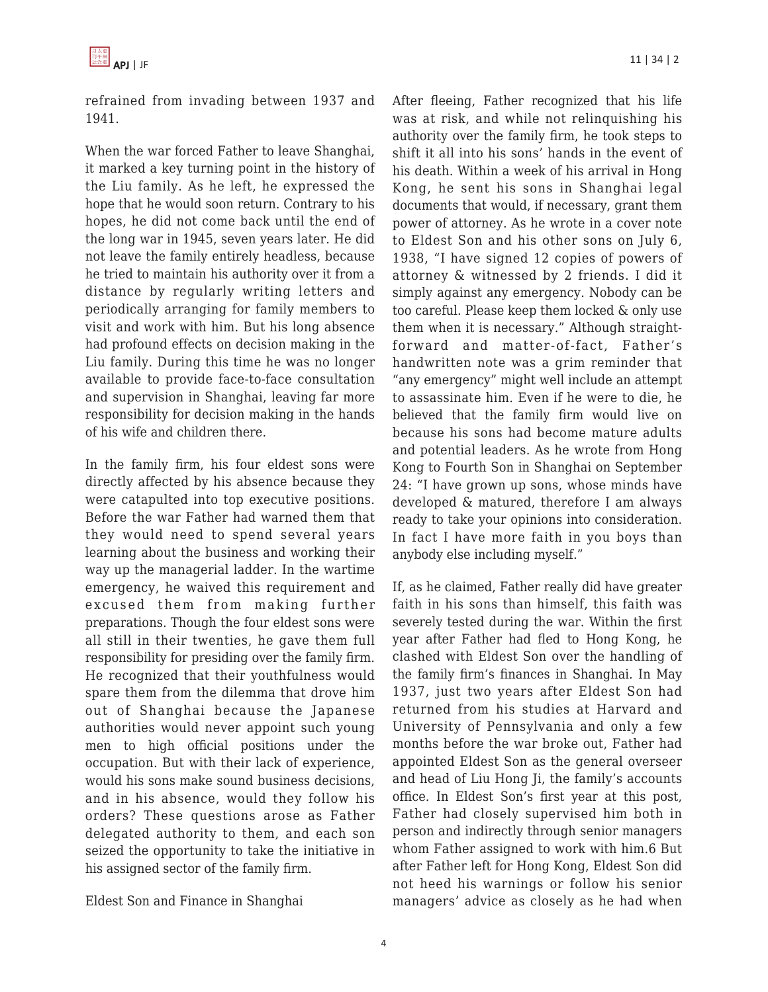

refrained from invading between 1937 and 1941.

When the war forced Father to leave Shanghai, it marked a key turning point in the history of the Liu family. As he left, he expressed the hope that he would soon return. Contrary to his hopes, he did not come back until the end of the long war in 1945, seven years later. He did not leave the family entirely headless, because he tried to maintain his authority over it from a distance by regularly writing letters and periodically arranging for family members to visit and work with him. But his long absence had profound effects on decision making in the Liu family. During this time he was no longer available to provide face-to-face consultation and supervision in Shanghai, leaving far more responsibility for decision making in the hands of his wife and children there.

In the family firm, his four eldest sons were directly affected by his absence because they were catapulted into top executive positions. Before the war Father had warned them that they would need to spend several years learning about the business and working their way up the managerial ladder. In the wartime emergency, he waived this requirement and excused them from making further preparations. Though the four eldest sons were all still in their twenties, he gave them full responsibility for presiding over the family firm. He recognized that their youthfulness would spare them from the dilemma that drove him out of Shanghai because the Japanese authorities would never appoint such young men to high official positions under the occupation. But with their lack of experience, would his sons make sound business decisions, and in his absence, would they follow his orders? These questions arose as Father delegated authority to them, and each son seized the opportunity to take the initiative in his assigned sector of the family firm.

Eldest Son and Finance in Shanghai

After fleeing, Father recognized that his life was at risk, and while not relinquishing his authority over the family firm, he took steps to shift it all into his sons' hands in the event of his death. Within a week of his arrival in Hong Kong, he sent his sons in Shanghai legal documents that would, if necessary, grant them power of attorney. As he wrote in a cover note to Eldest Son and his other sons on July 6, 1938, "I have signed 12 copies of powers of attorney & witnessed by 2 friends. I did it simply against any emergency. Nobody can be too careful. Please keep them locked & only use them when it is necessary." Although straightforward and matter-of-fact, Father's handwritten note was a grim reminder that "any emergency" might well include an attempt to assassinate him. Even if he were to die, he believed that the family firm would live on because his sons had become mature adults and potential leaders. As he wrote from Hong Kong to Fourth Son in Shanghai on September 24: "I have grown up sons, whose minds have developed & matured, therefore I am always ready to take your opinions into consideration. In fact I have more faith in you boys than anybody else including myself."

If, as he claimed, Father really did have greater faith in his sons than himself, this faith was severely tested during the war. Within the first year after Father had fled to Hong Kong, he clashed with Eldest Son over the handling of the family firm's finances in Shanghai. In May 1937, just two years after Eldest Son had returned from his studies at Harvard and University of Pennsylvania and only a few months before the war broke out, Father had appointed Eldest Son as the general overseer and head of Liu Hong Ji, the family's accounts office. In Eldest Son's first year at this post, Father had closely supervised him both in person and indirectly through senior managers whom Father assigned to work with him.6 But after Father left for Hong Kong, Eldest Son did not heed his warnings or follow his senior managers' advice as closely as he had when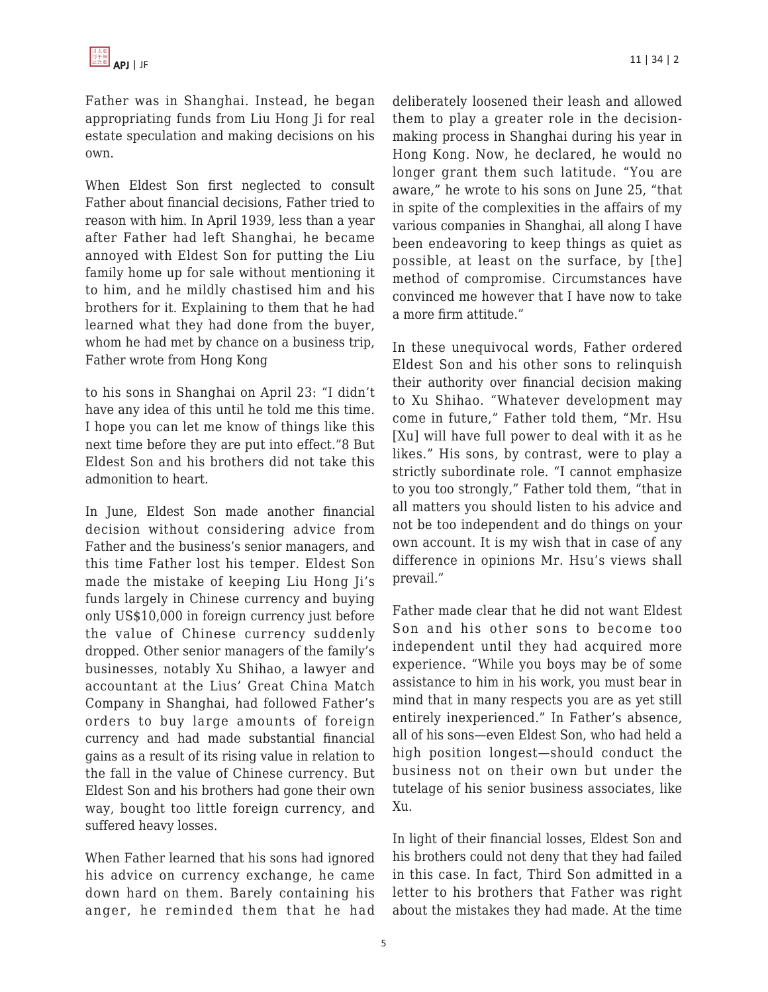Father was in Shanghai. Instead, he began appropriating funds from Liu Hong Ji for real estate speculation and making decisions on his own.

When Eldest Son first neglected to consult Father about financial decisions, Father tried to reason with him. In April 1939, less than a year after Father had left Shanghai, he became annoyed with Eldest Son for putting the Liu family home up for sale without mentioning it to him, and he mildly chastised him and his brothers for it. Explaining to them that he had learned what they had done from the buyer, whom he had met by chance on a business trip, Father wrote from Hong Kong

to his sons in Shanghai on April 23: "I didn't have any idea of this until he told me this time. I hope you can let me know of things like this next time before they are put into effect."8 But Eldest Son and his brothers did not take this admonition to heart.

In June, Eldest Son made another financial decision without considering advice from Father and the business's senior managers, and this time Father lost his temper. Eldest Son made the mistake of keeping Liu Hong Ji's funds largely in Chinese currency and buying only US\$10,000 in foreign currency just before the value of Chinese currency suddenly dropped. Other senior managers of the family's businesses, notably Xu Shihao, a lawyer and accountant at the Lius' Great China Match Company in Shanghai, had followed Father's orders to buy large amounts of foreign currency and had made substantial financial gains as a result of its rising value in relation to the fall in the value of Chinese currency. But Eldest Son and his brothers had gone their own way, bought too little foreign currency, and suffered heavy losses.

When Father learned that his sons had ignored his advice on currency exchange, he came down hard on them. Barely containing his anger, he reminded them that he had deliberately loosened their leash and allowed them to play a greater role in the decisionmaking process in Shanghai during his year in Hong Kong. Now, he declared, he would no longer grant them such latitude. "You are aware," he wrote to his sons on June 25, "that in spite of the complexities in the affairs of my various companies in Shanghai, all along I have been endeavoring to keep things as quiet as possible, at least on the surface, by [the] method of compromise. Circumstances have convinced me however that I have now to take a more firm attitude."

In these unequivocal words, Father ordered Eldest Son and his other sons to relinquish their authority over financial decision making to Xu Shihao. "Whatever development may come in future," Father told them, "Mr. Hsu [Xu] will have full power to deal with it as he likes." His sons, by contrast, were to play a strictly subordinate role. "I cannot emphasize to you too strongly," Father told them, "that in all matters you should listen to his advice and not be too independent and do things on your own account. It is my wish that in case of any difference in opinions Mr. Hsu's views shall prevail."

Father made clear that he did not want Eldest Son and his other sons to become too independent until they had acquired more experience. "While you boys may be of some assistance to him in his work, you must bear in mind that in many respects you are as yet still entirely inexperienced." In Father's absence, all of his sons—even Eldest Son, who had held a high position longest—should conduct the business not on their own but under the tutelage of his senior business associates, like Xu.

In light of their financial losses, Eldest Son and his brothers could not deny that they had failed in this case. In fact, Third Son admitted in a letter to his brothers that Father was right about the mistakes they had made. At the time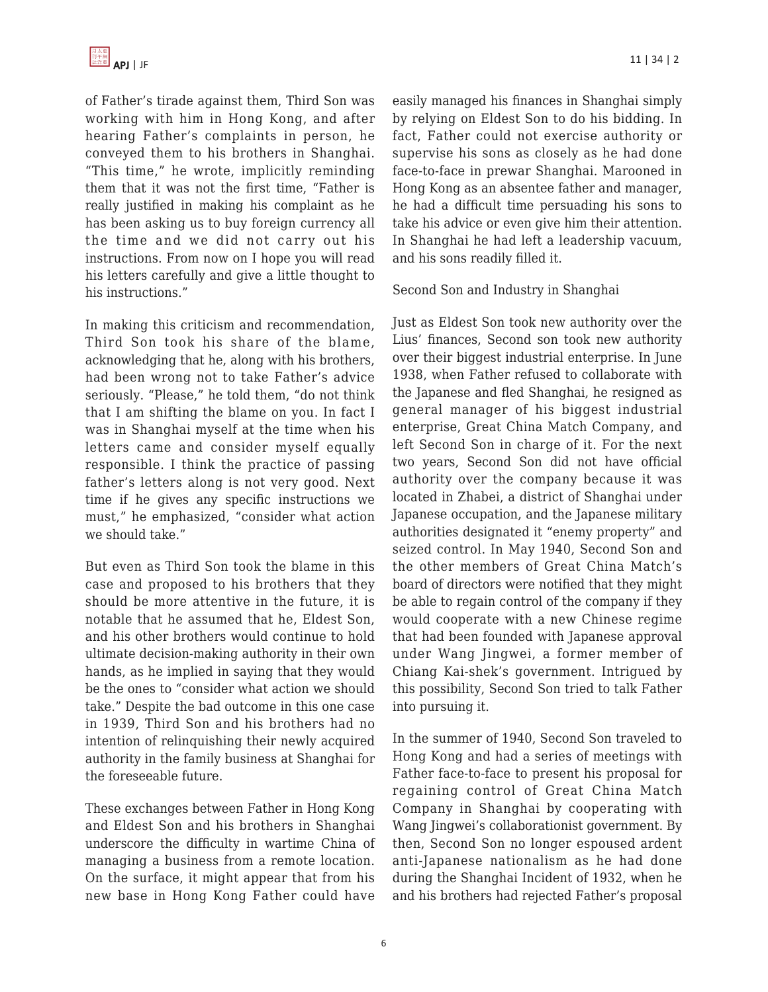of Father's tirade against them, Third Son was working with him in Hong Kong, and after hearing Father's complaints in person, he conveyed them to his brothers in Shanghai. "This time," he wrote, implicitly reminding them that it was not the first time, "Father is really justified in making his complaint as he has been asking us to buy foreign currency all the time and we did not carry out his instructions. From now on I hope you will read his letters carefully and give a little thought to his instructions."

In making this criticism and recommendation, Third Son took his share of the blame, acknowledging that he, along with his brothers, had been wrong not to take Father's advice seriously. "Please," he told them, "do not think that I am shifting the blame on you. In fact I was in Shanghai myself at the time when his letters came and consider myself equally responsible. I think the practice of passing father's letters along is not very good. Next time if he gives any specific instructions we must," he emphasized, "consider what action we should take."

But even as Third Son took the blame in this case and proposed to his brothers that they should be more attentive in the future, it is notable that he assumed that he, Eldest Son, and his other brothers would continue to hold ultimate decision-making authority in their own hands, as he implied in saying that they would be the ones to "consider what action we should take." Despite the bad outcome in this one case in 1939, Third Son and his brothers had no intention of relinquishing their newly acquired authority in the family business at Shanghai for the foreseeable future.

These exchanges between Father in Hong Kong and Eldest Son and his brothers in Shanghai underscore the difficulty in wartime China of managing a business from a remote location. On the surface, it might appear that from his new base in Hong Kong Father could have

easily managed his finances in Shanghai simply by relying on Eldest Son to do his bidding. In fact, Father could not exercise authority or supervise his sons as closely as he had done face-to-face in prewar Shanghai. Marooned in Hong Kong as an absentee father and manager, he had a difficult time persuading his sons to take his advice or even give him their attention. In Shanghai he had left a leadership vacuum, and his sons readily filled it.

Second Son and Industry in Shanghai

Just as Eldest Son took new authority over the Lius' finances, Second son took new authority over their biggest industrial enterprise. In June 1938, when Father refused to collaborate with the Japanese and fled Shanghai, he resigned as general manager of his biggest industrial enterprise, Great China Match Company, and left Second Son in charge of it. For the next two years, Second Son did not have official authority over the company because it was located in Zhabei, a district of Shanghai under Japanese occupation, and the Japanese military authorities designated it "enemy property" and seized control. In May 1940, Second Son and the other members of Great China Match's board of directors were notified that they might be able to regain control of the company if they would cooperate with a new Chinese regime that had been founded with Japanese approval under Wang Jingwei, a former member of Chiang Kai-shek's government. Intrigued by this possibility, Second Son tried to talk Father into pursuing it.

In the summer of 1940, Second Son traveled to Hong Kong and had a series of meetings with Father face-to-face to present his proposal for regaining control of Great China Match Company in Shanghai by cooperating with Wang Jingwei's collaborationist government. By then, Second Son no longer espoused ardent anti-Japanese nationalism as he had done during the Shanghai Incident of 1932, when he and his brothers had rejected Father's proposal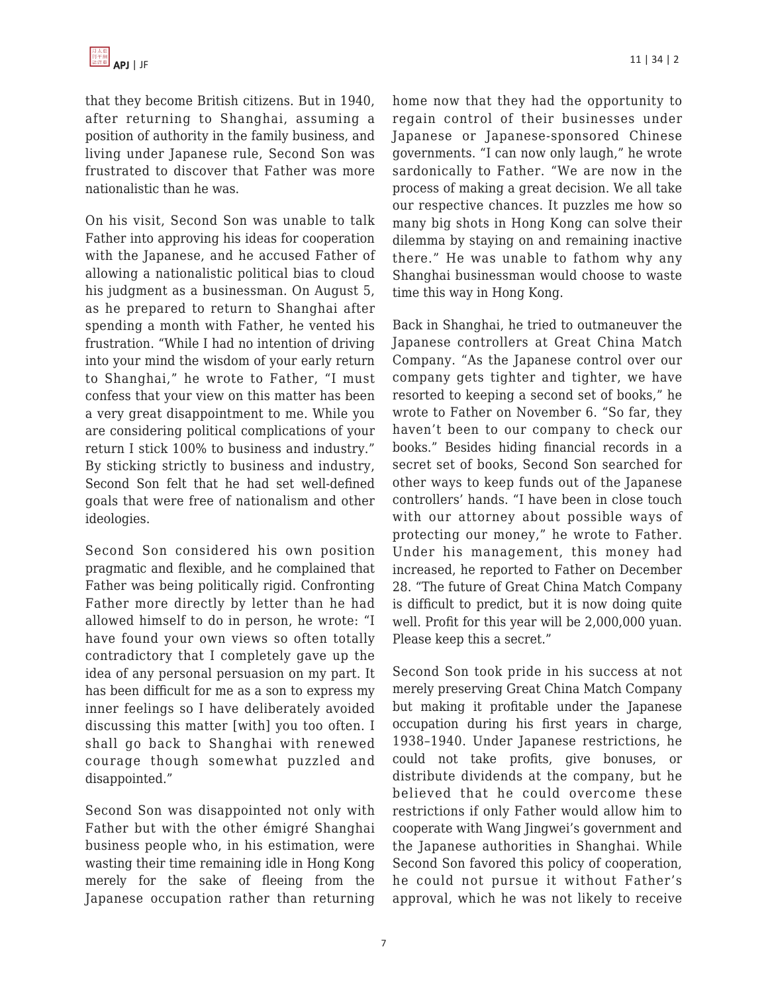that they become British citizens. But in 1940, after returning to Shanghai, assuming a position of authority in the family business, and living under Japanese rule, Second Son was frustrated to discover that Father was more nationalistic than he was.

On his visit, Second Son was unable to talk Father into approving his ideas for cooperation with the Japanese, and he accused Father of allowing a nationalistic political bias to cloud his judgment as a businessman. On August 5, as he prepared to return to Shanghai after spending a month with Father, he vented his frustration. "While I had no intention of driving into your mind the wisdom of your early return to Shanghai," he wrote to Father, "I must confess that your view on this matter has been a very great disappointment to me. While you are considering political complications of your return I stick 100% to business and industry." By sticking strictly to business and industry, Second Son felt that he had set well-defined goals that were free of nationalism and other ideologies.

Second Son considered his own position pragmatic and flexible, and he complained that Father was being politically rigid. Confronting Father more directly by letter than he had allowed himself to do in person, he wrote: "I have found your own views so often totally contradictory that I completely gave up the idea of any personal persuasion on my part. It has been difficult for me as a son to express my inner feelings so I have deliberately avoided discussing this matter [with] you too often. I shall go back to Shanghai with renewed courage though somewhat puzzled and disappointed."

Second Son was disappointed not only with Father but with the other émigré Shanghai business people who, in his estimation, were wasting their time remaining idle in Hong Kong merely for the sake of fleeing from the Japanese occupation rather than returning home now that they had the opportunity to regain control of their businesses under Japanese or Japanese-sponsored Chinese governments. "I can now only laugh," he wrote sardonically to Father. "We are now in the process of making a great decision. We all take our respective chances. It puzzles me how so many big shots in Hong Kong can solve their dilemma by staying on and remaining inactive there." He was unable to fathom why any Shanghai businessman would choose to waste time this way in Hong Kong.

Back in Shanghai, he tried to outmaneuver the Japanese controllers at Great China Match Company. "As the Japanese control over our company gets tighter and tighter, we have resorted to keeping a second set of books," he wrote to Father on November 6. "So far, they haven't been to our company to check our books." Besides hiding financial records in a secret set of books, Second Son searched for other ways to keep funds out of the Japanese controllers' hands. "I have been in close touch with our attorney about possible ways of protecting our money," he wrote to Father. Under his management, this money had increased, he reported to Father on December 28. "The future of Great China Match Company is difficult to predict, but it is now doing quite well. Profit for this year will be 2,000,000 yuan. Please keep this a secret."

Second Son took pride in his success at not merely preserving Great China Match Company but making it profitable under the Japanese occupation during his first years in charge, 1938–1940. Under Japanese restrictions, he could not take profits, give bonuses, or distribute dividends at the company, but he believed that he could overcome these restrictions if only Father would allow him to cooperate with Wang Jingwei's government and the Japanese authorities in Shanghai. While Second Son favored this policy of cooperation, he could not pursue it without Father's approval, which he was not likely to receive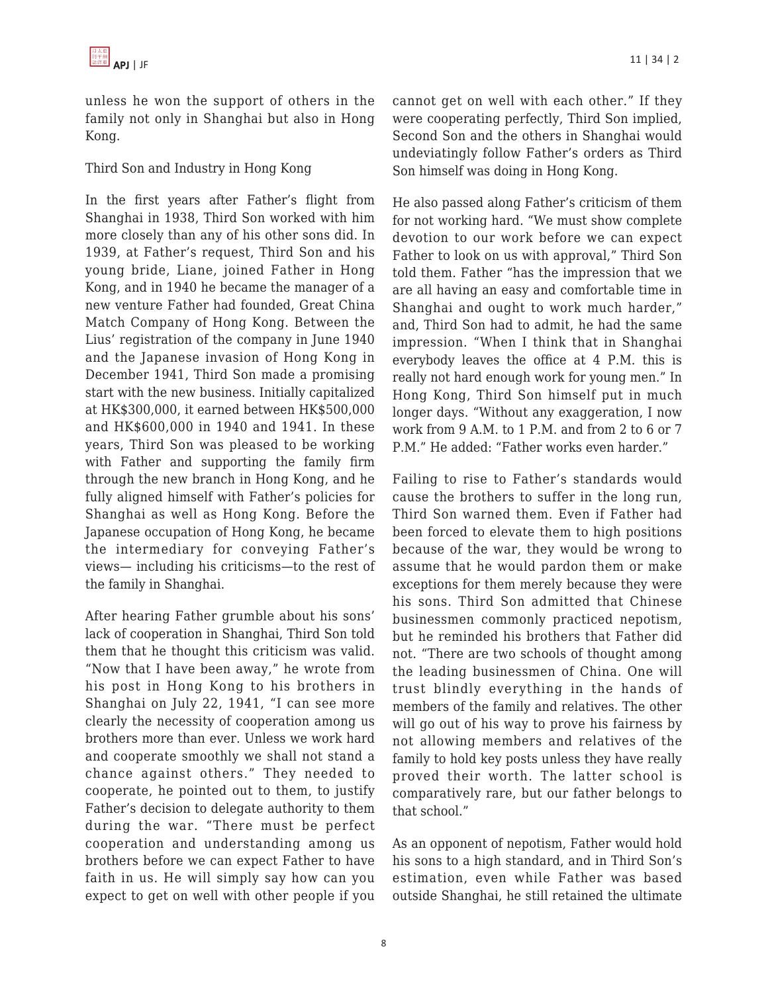unless he won the support of others in the family not only in Shanghai but also in Hong Kong.

### Third Son and Industry in Hong Kong

In the first years after Father's flight from Shanghai in 1938, Third Son worked with him more closely than any of his other sons did. In 1939, at Father's request, Third Son and his young bride, Liane, joined Father in Hong Kong, and in 1940 he became the manager of a new venture Father had founded, Great China Match Company of Hong Kong. Between the Lius' registration of the company in June 1940 and the Japanese invasion of Hong Kong in December 1941, Third Son made a promising start with the new business. Initially capitalized at HK\$300,000, it earned between HK\$500,000 and HK\$600,000 in 1940 and 1941. In these years, Third Son was pleased to be working with Father and supporting the family firm through the new branch in Hong Kong, and he fully aligned himself with Father's policies for Shanghai as well as Hong Kong. Before the Japanese occupation of Hong Kong, he became the intermediary for conveying Father's views— including his criticisms—to the rest of the family in Shanghai.

After hearing Father grumble about his sons' lack of cooperation in Shanghai, Third Son told them that he thought this criticism was valid. "Now that I have been away," he wrote from his post in Hong Kong to his brothers in Shanghai on July 22, 1941, "I can see more clearly the necessity of cooperation among us brothers more than ever. Unless we work hard and cooperate smoothly we shall not stand a chance against others." They needed to cooperate, he pointed out to them, to justify Father's decision to delegate authority to them during the war. "There must be perfect cooperation and understanding among us brothers before we can expect Father to have faith in us. He will simply say how can you expect to get on well with other people if you

cannot get on well with each other." If they were cooperating perfectly, Third Son implied, Second Son and the others in Shanghai would undeviatingly follow Father's orders as Third Son himself was doing in Hong Kong.

He also passed along Father's criticism of them for not working hard. "We must show complete devotion to our work before we can expect Father to look on us with approval," Third Son told them. Father "has the impression that we are all having an easy and comfortable time in Shanghai and ought to work much harder," and, Third Son had to admit, he had the same impression. "When I think that in Shanghai everybody leaves the office at 4 P.M. this is really not hard enough work for young men." In Hong Kong, Third Son himself put in much longer days. "Without any exaggeration, I now work from 9 A.M. to 1 P.M. and from 2 to 6 or 7 P.M." He added: "Father works even harder."

Failing to rise to Father's standards would cause the brothers to suffer in the long run, Third Son warned them. Even if Father had been forced to elevate them to high positions because of the war, they would be wrong to assume that he would pardon them or make exceptions for them merely because they were his sons. Third Son admitted that Chinese businessmen commonly practiced nepotism, but he reminded his brothers that Father did not. "There are two schools of thought among the leading businessmen of China. One will trust blindly everything in the hands of members of the family and relatives. The other will go out of his way to prove his fairness by not allowing members and relatives of the family to hold key posts unless they have really proved their worth. The latter school is comparatively rare, but our father belongs to that school."

As an opponent of nepotism, Father would hold his sons to a high standard, and in Third Son's estimation, even while Father was based outside Shanghai, he still retained the ultimate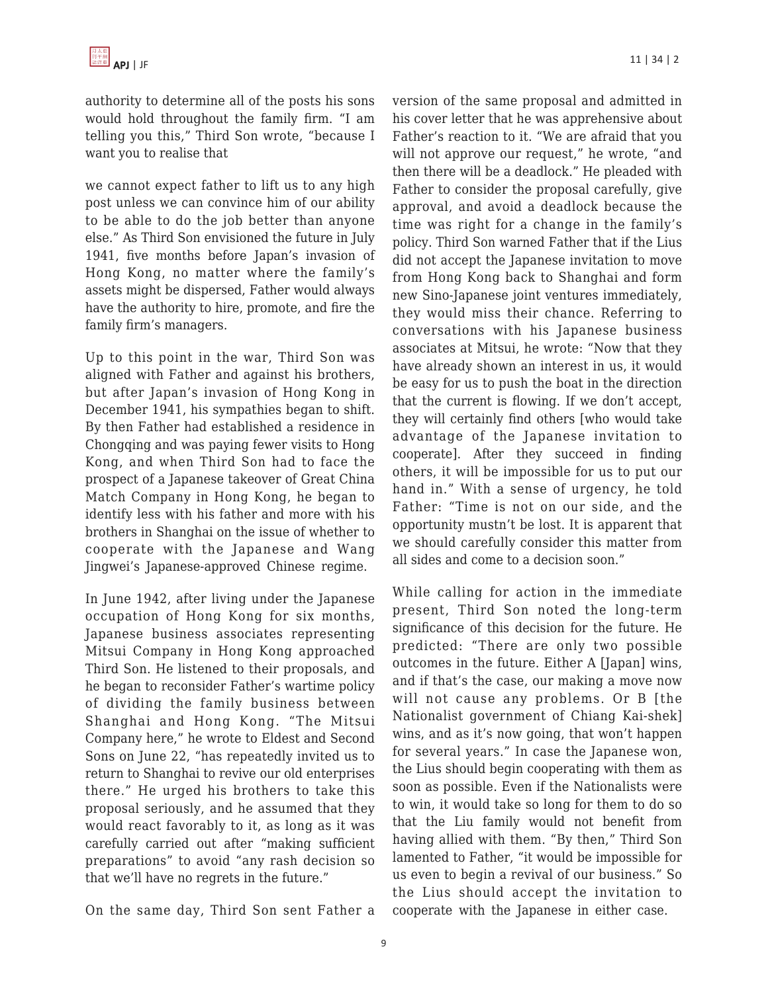authority to determine all of the posts his sons would hold throughout the family firm. "I am telling you this," Third Son wrote, "because I want you to realise that

we cannot expect father to lift us to any high post unless we can convince him of our ability to be able to do the job better than anyone else." As Third Son envisioned the future in July 1941, five months before Japan's invasion of Hong Kong, no matter where the family's assets might be dispersed, Father would always have the authority to hire, promote, and fire the family firm's managers.

Up to this point in the war, Third Son was aligned with Father and against his brothers, but after Japan's invasion of Hong Kong in December 1941, his sympathies began to shift. By then Father had established a residence in Chongqing and was paying fewer visits to Hong Kong, and when Third Son had to face the prospect of a Japanese takeover of Great China Match Company in Hong Kong, he began to identify less with his father and more with his brothers in Shanghai on the issue of whether to cooperate with the Japanese and Wang Jingwei's Japanese-approved Chinese regime.

In June 1942, after living under the Japanese occupation of Hong Kong for six months, Japanese business associates representing Mitsui Company in Hong Kong approached Third Son. He listened to their proposals, and he began to reconsider Father's wartime policy of dividing the family business between Shanghai and Hong Kong. "The Mitsui Company here," he wrote to Eldest and Second Sons on June 22, "has repeatedly invited us to return to Shanghai to revive our old enterprises there." He urged his brothers to take this proposal seriously, and he assumed that they would react favorably to it, as long as it was carefully carried out after "making sufficient preparations" to avoid "any rash decision so that we'll have no regrets in the future."

On the same day, Third Son sent Father a

version of the same proposal and admitted in his cover letter that he was apprehensive about Father's reaction to it. "We are afraid that you will not approve our request," he wrote, "and then there will be a deadlock." He pleaded with Father to consider the proposal carefully, give approval, and avoid a deadlock because the time was right for a change in the family's policy. Third Son warned Father that if the Lius did not accept the Japanese invitation to move from Hong Kong back to Shanghai and form new Sino-Japanese joint ventures immediately, they would miss their chance. Referring to conversations with his Japanese business associates at Mitsui, he wrote: "Now that they have already shown an interest in us, it would be easy for us to push the boat in the direction that the current is flowing. If we don't accept, they will certainly find others [who would take advantage of the Japanese invitation to cooperate]. After they succeed in finding others, it will be impossible for us to put our hand in." With a sense of urgency, he told Father: "Time is not on our side, and the opportunity mustn't be lost. It is apparent that we should carefully consider this matter from all sides and come to a decision soon."

While calling for action in the immediate present, Third Son noted the long-term significance of this decision for the future. He predicted: "There are only two possible outcomes in the future. Either A [Japan] wins, and if that's the case, our making a move now will not cause any problems. Or B [the Nationalist government of Chiang Kai-shek] wins, and as it's now going, that won't happen for several years." In case the Japanese won, the Lius should begin cooperating with them as soon as possible. Even if the Nationalists were to win, it would take so long for them to do so that the Liu family would not benefit from having allied with them. "By then," Third Son lamented to Father, "it would be impossible for us even to begin a revival of our business." So the Lius should accept the invitation to cooperate with the Japanese in either case.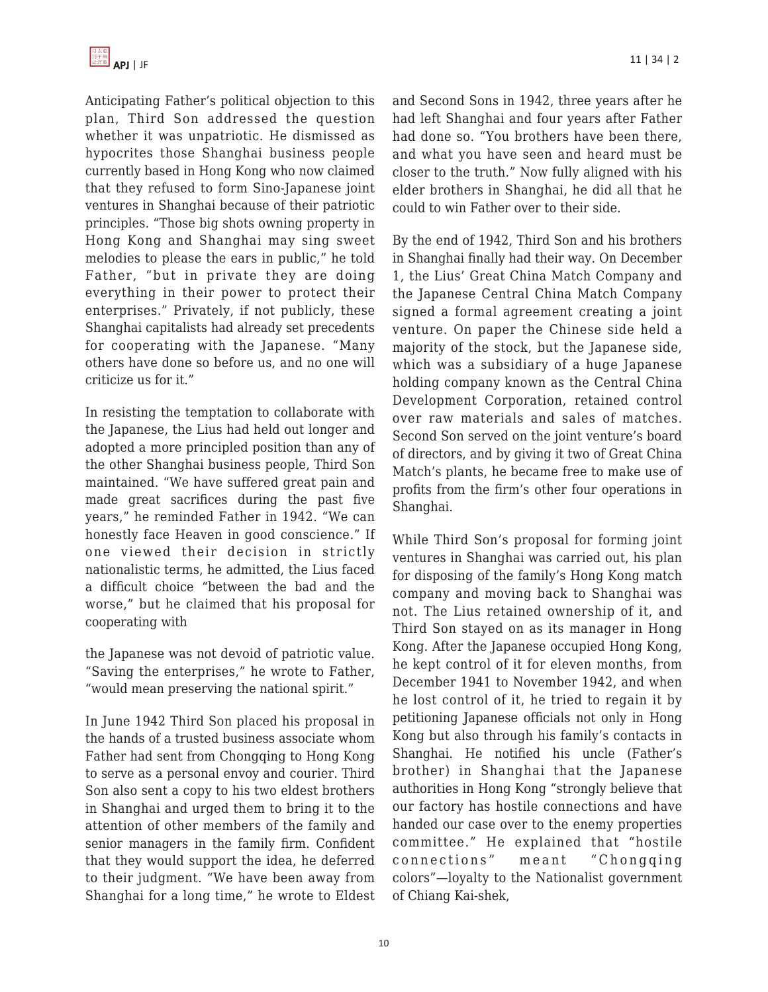Anticipating Father's political objection to this plan, Third Son addressed the question whether it was unpatriotic. He dismissed as hypocrites those Shanghai business people currently based in Hong Kong who now claimed that they refused to form Sino-Japanese joint ventures in Shanghai because of their patriotic principles. "Those big shots owning property in Hong Kong and Shanghai may sing sweet melodies to please the ears in public," he told Father, "but in private they are doing everything in their power to protect their enterprises." Privately, if not publicly, these Shanghai capitalists had already set precedents for cooperating with the Japanese. "Many others have done so before us, and no one will criticize us for it."

In resisting the temptation to collaborate with the Japanese, the Lius had held out longer and adopted a more principled position than any of the other Shanghai business people, Third Son maintained. "We have suffered great pain and made great sacrifices during the past five years," he reminded Father in 1942. "We can honestly face Heaven in good conscience." If one viewed their decision in strictly nationalistic terms, he admitted, the Lius faced a difficult choice "between the bad and the worse," but he claimed that his proposal for cooperating with

the Japanese was not devoid of patriotic value. "Saving the enterprises," he wrote to Father, "would mean preserving the national spirit."

In June 1942 Third Son placed his proposal in the hands of a trusted business associate whom Father had sent from Chongqing to Hong Kong to serve as a personal envoy and courier. Third Son also sent a copy to his two eldest brothers in Shanghai and urged them to bring it to the attention of other members of the family and senior managers in the family firm. Confident that they would support the idea, he deferred to their judgment. "We have been away from Shanghai for a long time," he wrote to Eldest and Second Sons in 1942, three years after he had left Shanghai and four years after Father had done so. "You brothers have been there, and what you have seen and heard must be closer to the truth." Now fully aligned with his elder brothers in Shanghai, he did all that he could to win Father over to their side.

By the end of 1942, Third Son and his brothers in Shanghai finally had their way. On December 1, the Lius' Great China Match Company and the Japanese Central China Match Company signed a formal agreement creating a joint venture. On paper the Chinese side held a majority of the stock, but the Japanese side, which was a subsidiary of a huge Japanese holding company known as the Central China Development Corporation, retained control over raw materials and sales of matches. Second Son served on the joint venture's board of directors, and by giving it two of Great China Match's plants, he became free to make use of profits from the firm's other four operations in Shanghai.

While Third Son's proposal for forming joint ventures in Shanghai was carried out, his plan for disposing of the family's Hong Kong match company and moving back to Shanghai was not. The Lius retained ownership of it, and Third Son stayed on as its manager in Hong Kong. After the Japanese occupied Hong Kong, he kept control of it for eleven months, from December 1941 to November 1942, and when he lost control of it, he tried to regain it by petitioning Japanese officials not only in Hong Kong but also through his family's contacts in Shanghai. He notified his uncle (Father's brother) in Shanghai that the Japanese authorities in Hong Kong "strongly believe that our factory has hostile connections and have handed our case over to the enemy properties committee." He explained that "hostile connections" meant "Chongqing colors"—loyalty to the Nationalist government of Chiang Kai-shek,